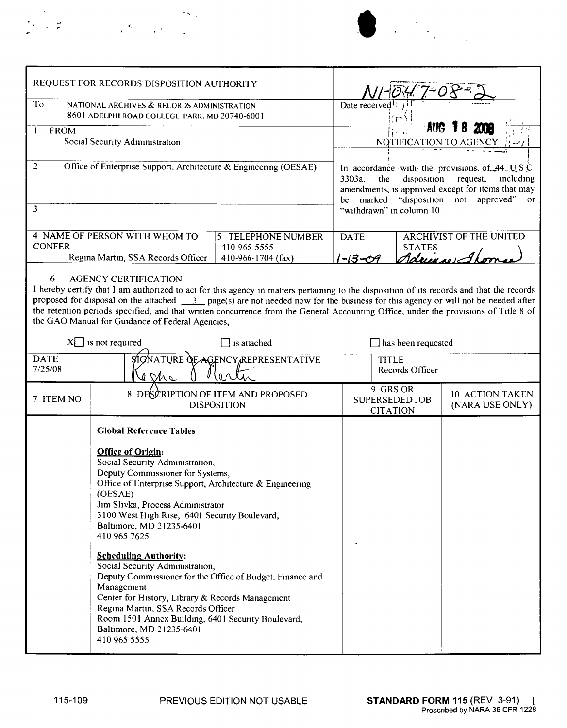|  |               |                                                                                                                                                                  | $\mathcal{L}(\mathbf{x},\mathbf{y})$ |
|--|---------------|------------------------------------------------------------------------------------------------------------------------------------------------------------------|--------------------------------------|
|  | $\frac{1}{2}$ | $\label{eq:2} \mathcal{L} = \mathcal{L} \frac{d\mathcal{L}}{d\mathcal{L}} = \mathcal{L} \mathcal{L} \mathcal{L} \mathcal{L} \mathcal{L} \mathcal{L} \mathcal{L}$ |                                      |



|                                                                                                                                                                                                                                                                                                                                                                                                                                                                                                                          | REQUEST FOR RECORDS DISPOSITION AUTHORITY                                                                                                                                                                                                                                                                                                                                                                                                                                                                                                                                                                                                                                            |                                                                                                                                                                                                                                                       |                              |                                                              |                                    |  |  |  |  |
|--------------------------------------------------------------------------------------------------------------------------------------------------------------------------------------------------------------------------------------------------------------------------------------------------------------------------------------------------------------------------------------------------------------------------------------------------------------------------------------------------------------------------|--------------------------------------------------------------------------------------------------------------------------------------------------------------------------------------------------------------------------------------------------------------------------------------------------------------------------------------------------------------------------------------------------------------------------------------------------------------------------------------------------------------------------------------------------------------------------------------------------------------------------------------------------------------------------------------|-------------------------------------------------------------------------------------------------------------------------------------------------------------------------------------------------------------------------------------------------------|------------------------------|--------------------------------------------------------------|------------------------------------|--|--|--|--|
| To                                                                                                                                                                                                                                                                                                                                                                                                                                                                                                                       | NATIONAL ARCHIVES & RECORDS ADMINISTRATION<br>8601 ADELPHI ROAD COLLEGE PARK, MD 20740-6001                                                                                                                                                                                                                                                                                                                                                                                                                                                                                                                                                                                          | Date received <sup>1</sup> :                                                                                                                                                                                                                          |                              |                                                              |                                    |  |  |  |  |
| <b>FROM</b><br>1                                                                                                                                                                                                                                                                                                                                                                                                                                                                                                         | Social Security Administration                                                                                                                                                                                                                                                                                                                                                                                                                                                                                                                                                                                                                                                       | aug<br>NOTIFICATION TO AGE                                                                                                                                                                                                                            |                              |                                                              |                                    |  |  |  |  |
| $\overline{2}$<br>3                                                                                                                                                                                                                                                                                                                                                                                                                                                                                                      | Office of Enterprise Support, Architecture & Engineering (OESAE)                                                                                                                                                                                                                                                                                                                                                                                                                                                                                                                                                                                                                     | In accordance with the provisions of $44 \text{ W}$ S C<br>the<br>disposition<br>3303a,<br>request,<br>including<br>amendments, is approved except for items that may<br>"disposition not approved"<br>marked<br>or<br>be<br>"withdrawn" in column 10 |                              |                                                              |                                    |  |  |  |  |
| <b>CONFER</b>                                                                                                                                                                                                                                                                                                                                                                                                                                                                                                            | 4 NAME OF PERSON WITH WHOM TO<br>Regina Martin, SSA Records Officer                                                                                                                                                                                                                                                                                                                                                                                                                                                                                                                                                                                                                  | 5 TELEPHONE NUMBER<br>410-965-5555<br>410-966-1704 (fax)                                                                                                                                                                                              | <b>DATE</b><br>$1 - 13 - 09$ | <b>ARCHIVIST OF THE UNITED</b><br><b>STATES</b><br>Adrin 10) |                                    |  |  |  |  |
| <b>AGENCY CERTIFICATION</b><br>6<br>I hereby certify that I am authorized to act for this agency in matters pertaining to the disposition of its records and that the records<br>proposed for disposal on the attached $\frac{3}{2}$ page(s) are not needed now for the business for this agency or will not be needed after<br>the retention periods specified, and that written concurrence from the General Accounting Office, under the provisions of Title 8 of<br>the GAO Manual for Guidance of Federal Agencies, |                                                                                                                                                                                                                                                                                                                                                                                                                                                                                                                                                                                                                                                                                      |                                                                                                                                                                                                                                                       |                              |                                                              |                                    |  |  |  |  |
| $X \square$ is not required                                                                                                                                                                                                                                                                                                                                                                                                                                                                                              | has been requested                                                                                                                                                                                                                                                                                                                                                                                                                                                                                                                                                                                                                                                                   |                                                                                                                                                                                                                                                       |                              |                                                              |                                    |  |  |  |  |
| <b>DATE</b><br>7/25/08                                                                                                                                                                                                                                                                                                                                                                                                                                                                                                   | <b>SIGNATURE OF</b><br>e she                                                                                                                                                                                                                                                                                                                                                                                                                                                                                                                                                                                                                                                         | <b>AGENCY REPRESENTATIVE</b>                                                                                                                                                                                                                          |                              | <b>TITLE</b><br>Records Officer                              |                                    |  |  |  |  |
| 7 ITEM NO                                                                                                                                                                                                                                                                                                                                                                                                                                                                                                                | 8 DESCRIPTION OF ITEM AND PROPOSED<br><b>DISPOSITION</b>                                                                                                                                                                                                                                                                                                                                                                                                                                                                                                                                                                                                                             |                                                                                                                                                                                                                                                       |                              | 9 GRS OR<br><b>SUPERSEDED JOB</b><br><b>CITATION</b>         | 10 ACTION TAKEN<br>(NARA USE ONLY) |  |  |  |  |
|                                                                                                                                                                                                                                                                                                                                                                                                                                                                                                                          | <b>Global Reference Tables</b><br><b>Office of Origin:</b><br>Social Security Administration,<br>Deputy Commissioner for Systems,<br>Office of Enterprise Support, Architecture & Engineering<br>(OESAE)<br>Jim Slivka, Process Administrator<br>3100 West High Rise, 6401 Security Boulevard,<br>Baltimore, MD 21235-6401<br>410 965 7625<br><b>Scheduling Authority:</b><br>Social Security Administration,<br>Deputy Commissioner for the Office of Budget, Finance and<br>Management<br>Center for History, Library & Records Management<br>Regina Martin, SSA Records Officer<br>Room 1501 Annex Building, 6401 Security Boulevard,<br>Baltimore, MD 21235-6401<br>410 965 5555 |                                                                                                                                                                                                                                                       |                              |                                                              |                                    |  |  |  |  |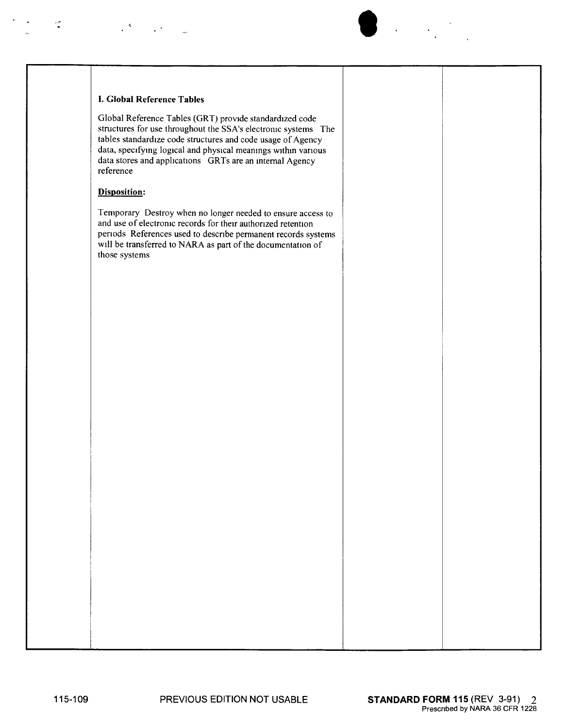

 $\mathcal{L}^{\mathcal{L}}(\mathcal{L}^{\mathcal{L}})$  and  $\mathcal{L}^{\mathcal{L}}(\mathcal{L}^{\mathcal{L}})$ 

Global Reference Tables (GRT) provide standardized code structures for use throughout the SSA's electronic systems The tables standardize code structures and code usage of Agency data, specifymg logical and physical meanings within vanous data stores and applications GRTs are an internal Agency reference

 $\bullet$ 

## Disposition:

t

Temporary Destroy when no longer needed to ensure access to and use of electronic records for their authonzed retention per ods References used to describe permanent records systems will be transferred to NARA as part of the documentation of those systems